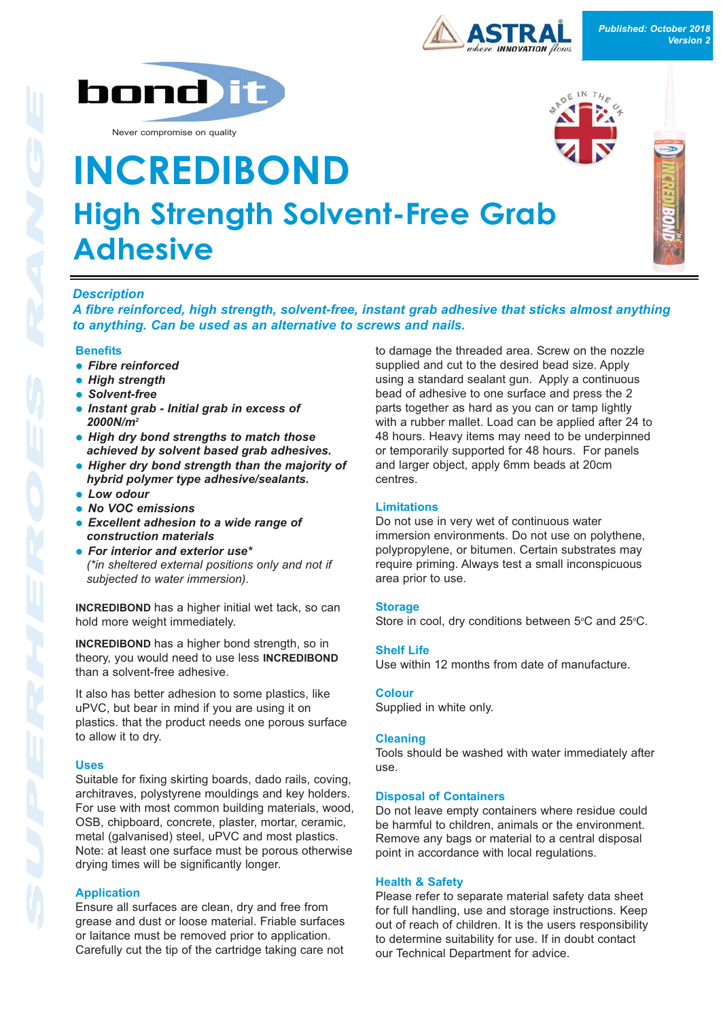



Never compromise on quality



# **INCREDIBOND High Strength Solvent-Free Grab Adhesive**

## *Description*

*A fibre reinforced, high strength, solvent-free, instant grab adhesive that sticks almost anything to anything. Can be used as an alternative to screws and nails.*

#### **Benefits**

- **Fibre reinforced**
- **High strength**
- **.** Solvent-free
- l *Instant grab Initial grab in excess of 2000N/m2*
- **.** High dry bond strengths to match those *achieved by solvent based grab adhesives.*
- **Higher dry bond strength than the majority of** *hybrid polymer type adhesive/sealants.*
- **Low odour**
- l *No VOC emissions*
- **e** Excellent adhesion to a wide range of *construction materials*
- **For interior and exterior use\*** *(\*in sheltered external positions only and not if subjected to water immersion).*

**INCREDIBOND** has a higher initial wet tack, so can hold more weight immediately.

**INCREDIBOND** has a higher bond strength, so in theory, you would need to use less **INCREDIBOND** than a solvent-free adhesive.

It also has better adhesion to some plastics, like uPVC, but bear in mind if you are using it on plastics. that the product needs one porous surface to allow it to dry.

#### **Uses**

Suitable for fixing skirting boards, dado rails, coving, architraves, polystyrene mouldings and key holders. For use with most common building materials, wood, OSB, chipboard, concrete, plaster, mortar, ceramic, metal (galvanised) steel, uPVC and most plastics. Note: at least one surface must be porous otherwise drying times will be significantly longer.

### **Application**

Ensure all surfaces are clean, dry and free from grease and dust or loose material. Friable surfaces or laitance must be removed prior to application. Carefully cut the tip of the cartridge taking care not

to damage the threaded area. Screw on the nozzle supplied and cut to the desired bead size. Apply using a standard sealant gun. Apply a continuous bead of adhesive to one surface and press the 2 parts together as hard as you can or tamp lightly with a rubber mallet. Load can be applied after 24 to 48 hours. Heavy items may need to be underpinned or temporarily supported for 48 hours. For panels and larger object, apply 6mm beads at 20cm centres.

#### **Limitations**

Do not use in very wet of continuous water immersion environments. Do not use on polythene, polypropylene, or bitumen. Certain substrates may require priming. Always test a small inconspicuous area prior to use.

#### **Storage**

Store in cool, dry conditions between  $5^{\circ}$ C and 25 $^{\circ}$ C.

#### **Shelf Life**

Use within 12 months from date of manufacture.

#### **Colour**

Supplied in white only.

#### **Cleaning**

Tools should be washed with water immediately after use.

#### **Disposal of Containers**

Do not leave empty containers where residue could be harmful to children, animals or the environment. Remove any bags or material to a central disposal point in accordance with local regulations.

#### **Health & Safety**

Please refer to separate material safety data sheet for full handling, use and storage instructions. Keep out of reach of children. It is the users responsibility to determine suitability for use. If in doubt contact our Technical Department for advice.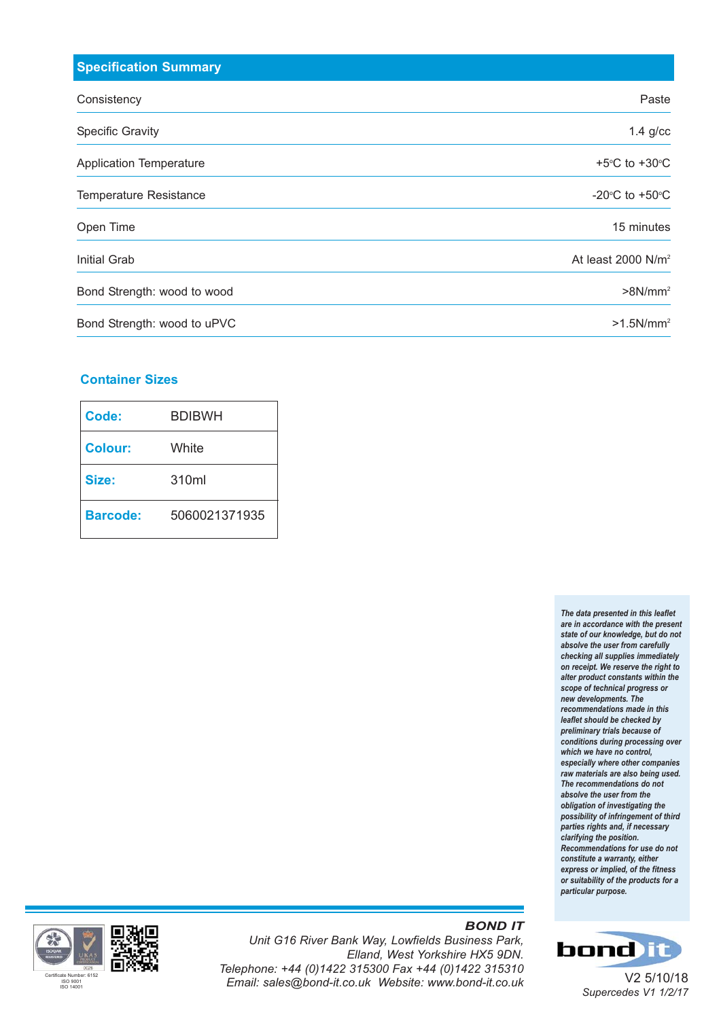| <b>Specification Summary</b>   |                                    |
|--------------------------------|------------------------------------|
| Consistency                    | Paste                              |
| <b>Specific Gravity</b>        | $1.4$ g/cc                         |
| <b>Application Temperature</b> | +5 $\degree$ C to +30 $\degree$ C  |
| <b>Temperature Resistance</b>  | -20 $\degree$ C to +50 $\degree$ C |
| Open Time                      | 15 minutes                         |
| Initial Grab                   | At least $2000$ N/m <sup>2</sup>   |
| Bond Strength: wood to wood    | $>8$ N/mm <sup>2</sup>             |
| Bond Strength: wood to uPVC    | $>1.5$ N/mm <sup>2</sup>           |

## **Container Sizes**

| Code:           | <b>BDIBWH</b> |
|-----------------|---------------|
| <b>Colour:</b>  | White         |
| Size:           | 310ml         |
| <b>Barcode:</b> | 5060021371935 |

*The data presented in this leaflet are in accordance with the present state of our knowledge, but do not absolve the user from carefully checking all supplies immediately on receipt. We reserve the right to alter product constants within the scope of technical progress or new developments. The recommendations made in this leaflet should be checked by preliminary trials because of conditions during processing over which we have no control, especially where other companies raw materials are also being used. The recommendations do not absolve the user from the obligation of investigating the possibility of infringement of third parties rights and, if necessary clarifying the position. Recommendations for use do not constitute a warranty, either express or implied, of the fitness or suitability of the products for a particular purpose.*



#### *Unit G16 River Bank Way, Lowfields Business Park, Elland, West Yorkshire HX5 9DN. Telephone: +44 (0)1422 315300 Fax +44 (0)1422 315310* Press<sub>ers 6152</sub><br>Email: sales@bond-it.co.uk Website: www.bond-it.co.uk

## *BOND IT*



V2 5/10/18 *Supercedes V1 1/2/17*